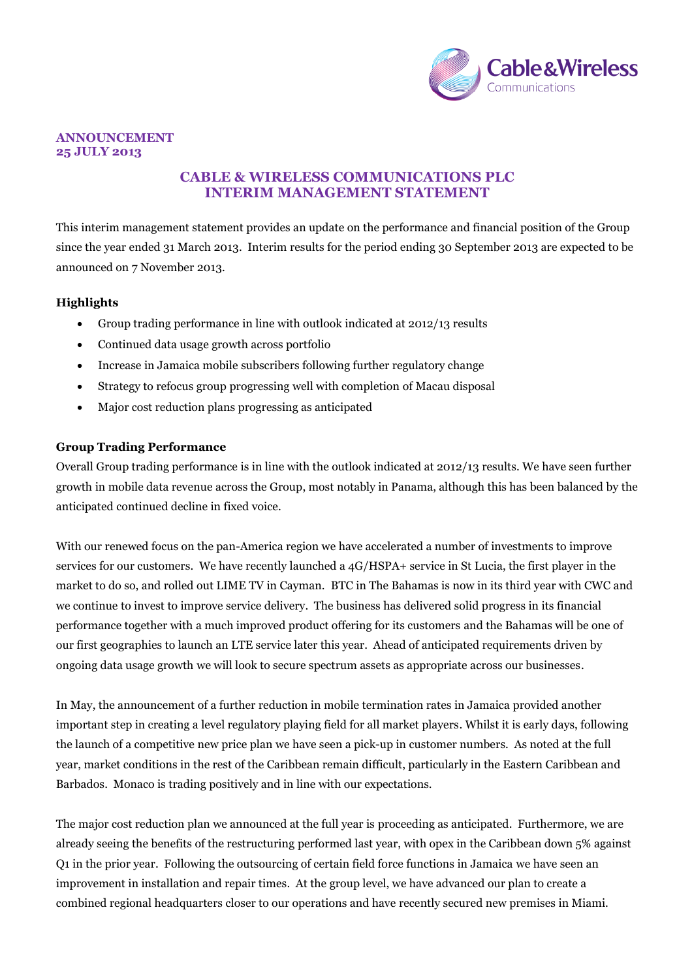

#### **ANNOUNCEMENT 25 JULY 2013**

# **CABLE & WIRELESS COMMUNICATIONS PLC INTERIM MANAGEMENT STATEMENT**

This interim management statement provides an update on the performance and financial position of the Group since the year ended 31 March 2013. Interim results for the period ending 30 September 2013 are expected to be announced on 7 November 2013.

# **Highlights**

- Group trading performance in line with outlook indicated at 2012/13 results
- Continued data usage growth across portfolio
- Increase in Jamaica mobile subscribers following further regulatory change
- Strategy to refocus group progressing well with completion of Macau disposal
- Major cost reduction plans progressing as anticipated

#### **Group Trading Performance**

Overall Group trading performance is in line with the outlook indicated at 2012/13 results. We have seen further growth in mobile data revenue across the Group, most notably in Panama, although this has been balanced by the anticipated continued decline in fixed voice.

With our renewed focus on the pan-America region we have accelerated a number of investments to improve services for our customers. We have recently launched a 4G/HSPA+ service in St Lucia, the first player in the market to do so, and rolled out LIME TV in Cayman. BTC in The Bahamas is now in its third year with CWC and we continue to invest to improve service delivery. The business has delivered solid progress in its financial performance together with a much improved product offering for its customers and the Bahamas will be one of our first geographies to launch an LTE service later this year. Ahead of anticipated requirements driven by ongoing data usage growth we will look to secure spectrum assets as appropriate across our businesses.

In May, the announcement of a further reduction in mobile termination rates in Jamaica provided another important step in creating a level regulatory playing field for all market players. Whilst it is early days, following the launch of a competitive new price plan we have seen a pick-up in customer numbers. As noted at the full year, market conditions in the rest of the Caribbean remain difficult, particularly in the Eastern Caribbean and Barbados. Monaco is trading positively and in line with our expectations.

The major cost reduction plan we announced at the full year is proceeding as anticipated. Furthermore, we are already seeing the benefits of the restructuring performed last year, with opex in the Caribbean down 5% against Q1 in the prior year. Following the outsourcing of certain field force functions in Jamaica we have seen an improvement in installation and repair times. At the group level, we have advanced our plan to create a combined regional headquarters closer to our operations and have recently secured new premises in Miami.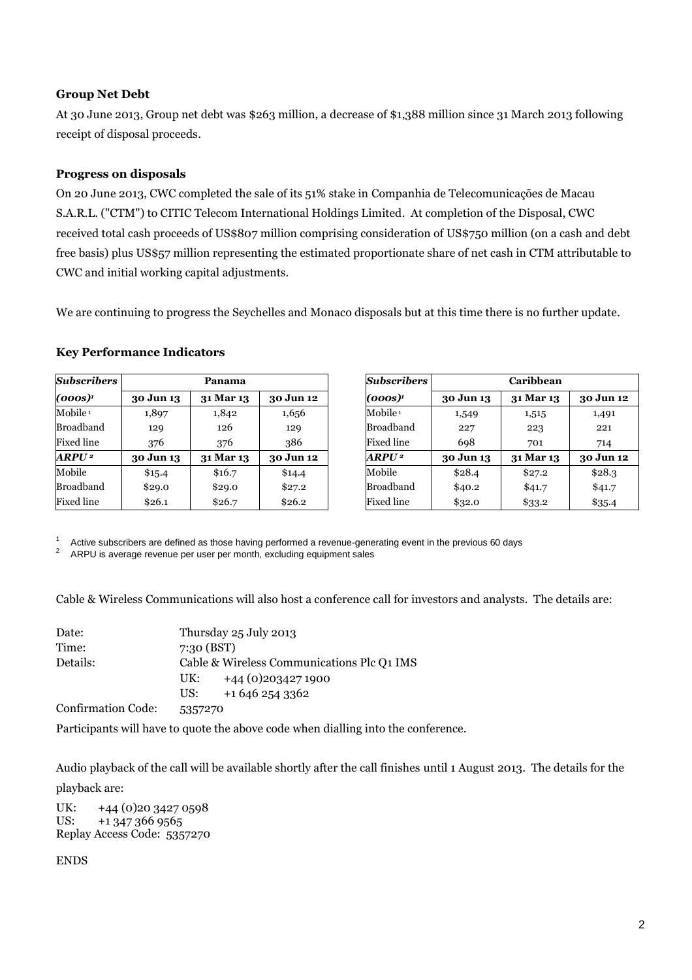### **Group Net Debt**

At 30 June 2013, Group net debt was \$263 million, a decrease of \$1,388 million since 31 March 2013 following receipt of disposal proceeds.

## **Progress on disposals**

On 20 June 2013, CWC completed the sale of its 51% stake in Companhia de Telecomunicações de Macau S.A.R.L. ("CTM") to CITIC Telecom International Holdings Limited. At completion of the Disposal, CWC received total cash proceeds of US\$807 million comprising consideration of US\$750 million (on a cash and debt free basis) plus US\$57 million representing the estimated proportionate share of net cash in CTM attributable to CWC and initial working capital adjustments.

We are continuing to progress the Seychelles and Monaco disposals but at this time there is no further update.

#### **Key Performance Indicators**

| <b>Subscribers</b>  | Panama    |           |           |
|---------------------|-----------|-----------|-----------|
| (000s) <sup>1</sup> | 30 Jun 13 | 31 Mar 13 | 30 Jun 12 |
| Mobile <sup>1</sup> | 1,897     | 1,842     | 1,656     |
| Broadband           | 129       | 126       | 129       |
| <b>Fixed line</b>   | 376       | 376       | 386       |
| ARPU <sup>2</sup>   | 30 Jun 13 | 31 Mar 13 | 30 Jun 12 |
| Mobile              | \$15.4    | \$16.7    | \$14.4    |
| Broadband           | \$29.0    | \$29.0    | \$27.2    |
| <b>Fixed line</b>   | \$26.1    | \$26.7    | \$26.2    |

| <b>Subscribers</b>  | Caribbean |           |           |
|---------------------|-----------|-----------|-----------|
| (000s) <sup>1</sup> | 30 Jun 13 | 31 Mar 13 | 30 Jun 12 |
| Mobile <sup>1</sup> | 1,549     | 1,515     | 1,491     |
| Broadband           | 227       | 223       | 221       |
| Fixed line          | 698       | 701       | 714       |
| ARPU <sup>2</sup>   | 30 Jun 13 | 31 Mar 13 | 30 Jun 12 |
| Mobile              | \$28.4    | \$27.2    | \$28.3    |
| Broadband           | \$40.2    | \$41.7    | \$41.7    |
| Fixed line          | \$32.0    | \$33.2    | \$35.4    |

1 Active subscribers are defined as those having performed a revenue-generating event in the previous 60 days

<sup>2</sup> ARPU is average revenue per user per month, excluding equipment sales

Cable & Wireless Communications will also host a conference call for investors and analysts. The details are:

| Date:                     | Thursday 25 July 2013                      |
|---------------------------|--------------------------------------------|
| Time:                     | 7:30(BST)                                  |
| Details:                  | Cable & Wireless Communications Plc Q1 IMS |
|                           | $+44(0)2034271900$<br>UK:                  |
|                           | +1 646 254 3362<br>US:                     |
| <b>Confirmation Code:</b> | 5357270                                    |

Participants will have to quote the above code when dialling into the conference.

Audio playback of the call will be available shortly after the call finishes until 1 August 2013. The details for the playback are:

UK: +44 (0) 20 3427 0598 US: +1 347 366 9565 Replay Access Code: 5357270

ENDS